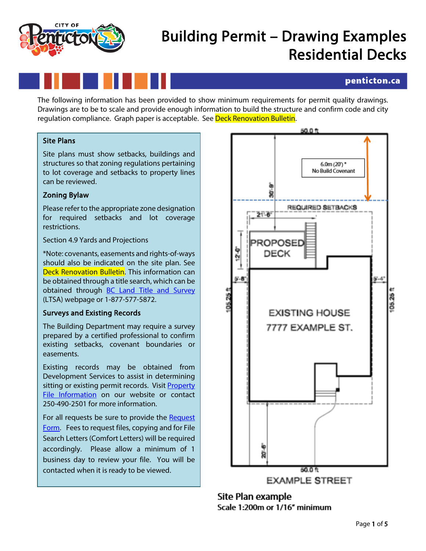

# Building Permit – Drawing Examples Residential Decks

### penticton.ca

The following information has been provided to show minimum requirements for permit quality drawings. Drawings are to be to scale and provide enough information to build the structure and confirm code and city regulation compliance. Graph paper is acceptable. See Deck Renovation Bulletin.

### Site Plans

l

Site plans must show setbacks, buildings and structures so that zoning regulations pertaining to lot coverage and setbacks to property lines can be reviewed.

### Zoning Bylaw

Please refer to the appropriate zone designation for required setbacks and lot coverage restrictions.

Section 4.9 Yards and Projections

\*Note: covenants, easements and rights-of-ways should also be indicated on the site plan. See Deck Renovation Bulletin. This information can be obtained through a title search, which can be obtained through **[BC Land Title and Survey](http://www.ltsa.ca/cms/what-is-a-land-title)** (LTSA) webpage or 1-877-577-5872.

### Surveys and Existing Records

The Building Department may require a survey prepared by a certified professional to confirm existing setbacks, covenant boundaries or easements.

Existing records may be obtained from Development Services to assist in determining sitting or existing permit records. Visi[t Property](https://www.penticton.ca/EN/main/departments/building/property-file-information.html)  [File Information](https://www.penticton.ca/EN/main/departments/building/property-file-information.html) on our website or contact 250-490-2501 for more information.

For all requests be sure to provide the [Request](https://www.penticton.ca/sites/default/files/docs/business-and-building/Property%20File%20Request/2021%20Request%20for%20Property%20File%20Information%20Form.pdf)  [Form.](https://www.penticton.ca/sites/default/files/docs/business-and-building/Property%20File%20Request/2021%20Request%20for%20Property%20File%20Information%20Form.pdf) Fees to request files, copying and for File Search Letters (Comfort Letters) will be required accordingly. Please allow a minimum of 1 business day to review your file. You will be contacted when it is ready to be viewed.



Site Plan example Scale 1:200m or 1/16" minimum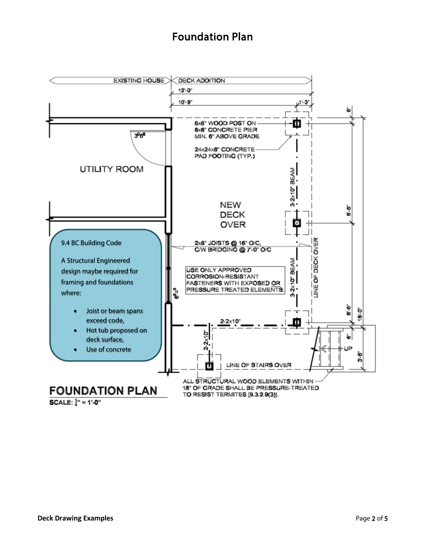# Foundation Plan

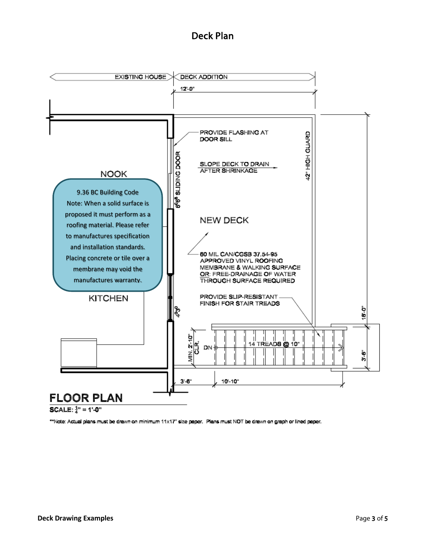## Deck Plan



**SCALE:**  $\frac{1}{4}$ " = 1'-0"

\*\*Note: Actual plans must be drawn on minimum 11x17" size paper. Plans must NOT be drawn on graph or lined paper.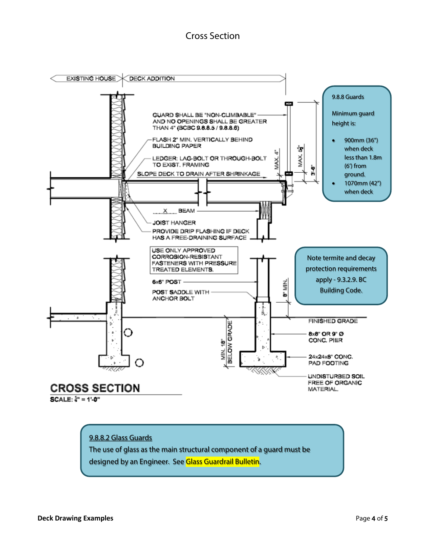

**SCALE:**  $\frac{1}{2}$ " = 1'-0"

### 9.8.8.2 Glass Guards

The use of glass as the main structural component of a guard must be designed by an Engineer. See Glass Guardrail Bulletin.